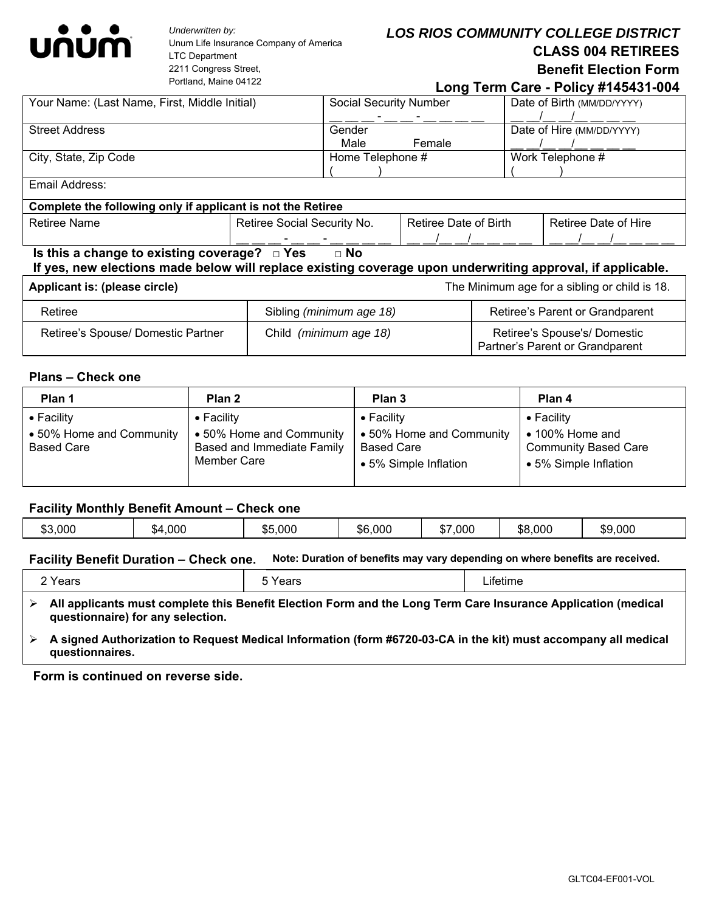

*Underwritten by:*  Unum Life Insurance Company of America LTC Department 2211 Congress Street, Portland, Maine 04122

# *LOS RIOS COMMUNITY COLLEGE DISTRICT* **CLASS 004 RETIREES Benefit Election Form**

 **Long Term Care - Policy #145431-004**

| Your Name: (Last Name, First, Middle Initial)                                                                                                                                |                             | <b>Social Security Number</b> |  | Date of Birth (MM/DD/YYYY) |  |
|------------------------------------------------------------------------------------------------------------------------------------------------------------------------------|-----------------------------|-------------------------------|--|----------------------------|--|
|                                                                                                                                                                              |                             |                               |  |                            |  |
| <b>Street Address</b>                                                                                                                                                        | Gender                      |                               |  | Date of Hire (MM/DD/YYYY)  |  |
|                                                                                                                                                                              | Male                        | Female                        |  |                            |  |
|                                                                                                                                                                              |                             |                               |  |                            |  |
| City, State, Zip Code                                                                                                                                                        |                             | Home Telephone #              |  | Work Telephone #           |  |
|                                                                                                                                                                              |                             |                               |  |                            |  |
| Email Address:                                                                                                                                                               |                             |                               |  |                            |  |
| Complete the following only if applicant is not the Retiree                                                                                                                  |                             |                               |  |                            |  |
| <b>Retiree Name</b>                                                                                                                                                          | Retiree Social Security No. | Retiree Date of Birth         |  | Retiree Date of Hire       |  |
|                                                                                                                                                                              |                             |                               |  |                            |  |
| Is this a change to existing coverage? $\Box$ Yes<br>$\Box$ No<br>If yes, new elections made below will replace existing coverage upon underwriting approval, if applicable. |                             |                               |  |                            |  |
| Applicant is: (please circle)<br>The Minimum age for a sibling or child is 18.                                                                                               |                             |                               |  |                            |  |
|                                                                                                                                                                              |                             |                               |  |                            |  |

| Retiree                            | Sibling (minimum age 18) | Retiree's Parent or Grandparent                                |
|------------------------------------|--------------------------|----------------------------------------------------------------|
| Retiree's Spouse/ Domestic Partner | Child (minimum age 18)   | Retiree's Spouse's/Domestic<br>Partner's Parent or Grandparent |

### **Plans – Check one**

| Plan 1                                                              | Plan 2                                                                                      | Plan 3                                                                                       | Plan 4                                                                                                |
|---------------------------------------------------------------------|---------------------------------------------------------------------------------------------|----------------------------------------------------------------------------------------------|-------------------------------------------------------------------------------------------------------|
| $\bullet$ Facility<br>• 50% Home and Community<br><b>Based Care</b> | $\bullet$ Facility<br>• 50% Home and Community<br>Based and Immediate Family<br>Member Care | $\bullet$ Facility<br>• 50% Home and Community<br><b>Based Care</b><br>• 5% Simple Inflation | $\bullet$ Facility<br>$\bullet$ 100% Home and<br><b>Community Based Care</b><br>• 5% Simple Inflation |

### **Facility Monthly Benefit Amount – Check one**

| \$6,000<br>$\sim$<br>000.'<br>\$8,000<br>\$9,000<br>\$3,000<br>,000<br>,000<br>.54<br>ו מ<br>ປ) ປ |
|---------------------------------------------------------------------------------------------------|
|---------------------------------------------------------------------------------------------------|

# **Facility Benefit Duration – Check one. Note: Duration of benefits may vary depending on where benefits are received.**

| 2 Years                                                                                                                                            | 5 Years                                                                                                        | Lifetime |
|----------------------------------------------------------------------------------------------------------------------------------------------------|----------------------------------------------------------------------------------------------------------------|----------|
| All applicants must complete this Benefit Election Form and the Long Term Care Insurance Application (medical<br>questionnaire) for any selection. |                                                                                                                |          |
|                                                                                                                                                    | A sinned Authorization to Request Medical Information (form #6720-03-CA in the kit) must accompany all medical |          |

 **A signed Authorization to Request Medical Information (form #6720-03-CA in the kit) must accompany all medical questionnaires.** 

#### **Form is continued on reverse side.**